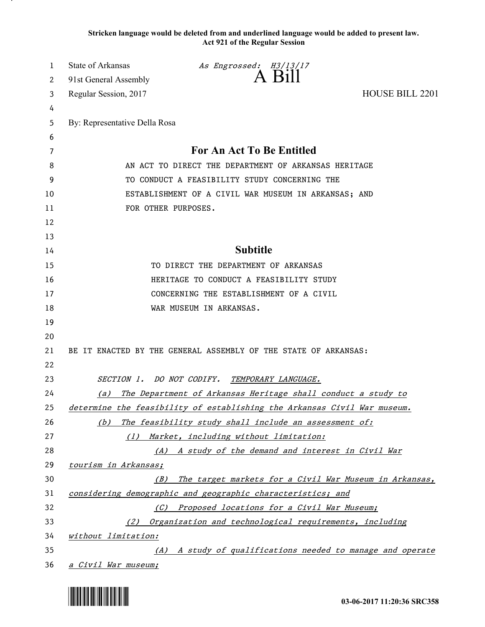**Stricken language would be deleted from and underlined language would be added to present law. Act 921 of the Regular Session**

| 1  | State of Arkansas                                               | As Engrossed: $\overset{\textit{H3/13/17}}{\Delta}$                      |                        |  |
|----|-----------------------------------------------------------------|--------------------------------------------------------------------------|------------------------|--|
| 2  | 91st General Assembly                                           |                                                                          |                        |  |
| 3  | Regular Session, 2017                                           |                                                                          | <b>HOUSE BILL 2201</b> |  |
| 4  |                                                                 |                                                                          |                        |  |
| 5  | By: Representative Della Rosa                                   |                                                                          |                        |  |
| 6  |                                                                 |                                                                          |                        |  |
| 7  | For An Act To Be Entitled                                       |                                                                          |                        |  |
| 8  | AN ACT TO DIRECT THE DEPARTMENT OF ARKANSAS HERITAGE            |                                                                          |                        |  |
| 9  | TO CONDUCT A FEASIBILITY STUDY CONCERNING THE                   |                                                                          |                        |  |
| 10 | ESTABLISHMENT OF A CIVIL WAR MUSEUM IN ARKANSAS; AND            |                                                                          |                        |  |
| 11 | FOR OTHER PURPOSES.                                             |                                                                          |                        |  |
| 12 |                                                                 |                                                                          |                        |  |
| 13 |                                                                 |                                                                          |                        |  |
| 14 | <b>Subtitle</b>                                                 |                                                                          |                        |  |
| 15 |                                                                 | TO DIRECT THE DEPARTMENT OF ARKANSAS                                     |                        |  |
| 16 |                                                                 | HERITAGE TO CONDUCT A FEASIBILITY STUDY                                  |                        |  |
| 17 | CONCERNING THE ESTABLISHMENT OF A CIVIL                         |                                                                          |                        |  |
| 18 |                                                                 | WAR MUSEUM IN ARKANSAS.                                                  |                        |  |
| 19 |                                                                 |                                                                          |                        |  |
| 20 |                                                                 |                                                                          |                        |  |
| 21 | BE IT ENACTED BY THE GENERAL ASSEMBLY OF THE STATE OF ARKANSAS: |                                                                          |                        |  |
| 22 |                                                                 |                                                                          |                        |  |
| 23 |                                                                 | SECTION 1. DO NOT CODIFY. TEMPORARY LANGUAGE.                            |                        |  |
| 24 | (a)                                                             | The Department of Arkansas Heritage shall conduct a study to             |                        |  |
| 25 |                                                                 | determine the feasibility of establishing the Arkansas Civil War museum. |                        |  |
| 26 | (b)                                                             | The feasibility study shall include an assessment of:                    |                        |  |
| 27 | (1)                                                             | Market, including without limitation:                                    |                        |  |
| 28 |                                                                 | (A) A study of the demand and interest in Civil War                      |                        |  |
| 29 | tourism in Arkansas;                                            |                                                                          |                        |  |
| 30 | (B)                                                             | The target markets for a Civil War Museum in Arkansas,                   |                        |  |
| 31 | considering demographic and geographic characteristics; and     |                                                                          |                        |  |
| 32 | (C)                                                             | Proposed locations for a Civil War Museum;                               |                        |  |
| 33 | Organization and technological requirements, including<br>(2)   |                                                                          |                        |  |
| 34 | without limitation:                                             |                                                                          |                        |  |
| 35 |                                                                 | (A) A study of qualifications needed to manage and operate               |                        |  |
| 36 | a Civil War museum;                                             |                                                                          |                        |  |